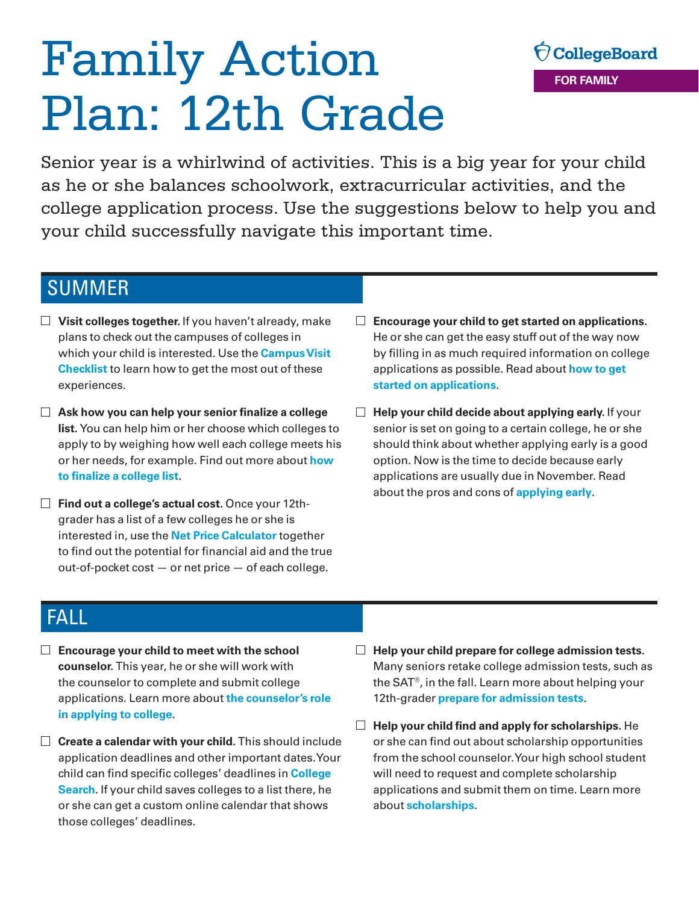# Family Action Plan: 12th Grade

OcollegeBoard **FOR FAMILY** 

Senior year is a whirlwind of activities. This is a big year for your child as he or she balances schoolwork, extracurricular activities, and the college application process. Use the suggestions below to help you and your child successfully navigate this important time.

## SUMMER

- **Visit colleges together.** If you haven't already, make plans to check out the campuses of colleges in which your child is interested. Use the **[Campus Visit](https://bigfuture.collegeboard.org/find-colleges/campus-visit-guide/campus-visit-checklist)  [Checklist](https://bigfuture.collegeboard.org/find-colleges/campus-visit-guide/campus-visit-checklist)** to learn how to get the most out of these experiences.
- **Ask how you can help your senior finalize a college list.** You can help him or her choose which colleges to apply to by weighing how well each college meets his or her needs, for example. Find out more about **[how](https://bigfuture.collegeboard.org/get-in/applying-101/how-to-finalize-your-college-list-admissions-college-application)  [to finalize a college list](https://bigfuture.collegeboard.org/get-in/applying-101/how-to-finalize-your-college-list-admissions-college-application)**.
- **Find out a college's actual cost.** Once your 12thgrader has a list of a few colleges he or she is interested in, use the **[Net Price Calculator](http://netpricecalculator.collegeboard.org/participating-schools)** together to find out the potential for financial aid and the true out-of-pocket cost — or net price — of each college.
- **Encourage your child to get started on applications.**  He or she can get the easy stuff out of the way now by filling in as much required information on college applications as possible. Read about **[how to get](https://bigfuture.collegeboard.org/get-in/applying-101/college-applications-how-to-begin-admissions)  [started on applications](https://bigfuture.collegeboard.org/get-in/applying-101/college-applications-how-to-begin-admissions)**.
- **Help your child decide about applying early.** If your senior is set on going to a certain college, he or she should think about whether applying early is a good option. Now is the time to decide because early applications are usually due in November. Read about the pros and cons of **[applying early](https://bigfuture.collegeboard.org/get-in/applying-101/the-facts-about-applying-early-is-it-right-for-you)**.

# FALL

- **Encourage your child to meet with the school counselor.** This year, he or she will work with the counselor to complete and submit college applications. Learn more about **[the counselor's role](https://bigfuture.collegeboard.org/get-in/applying-101/applying-to-college-your-counselors-role)  [in applying to college](https://bigfuture.collegeboard.org/get-in/applying-101/applying-to-college-your-counselors-role)**.
- □ **Create a calendar with your child.** This should include application deadlines and other important dates. Your child can find specific colleges' deadlines in **[College](https://bigfuture.collegeboard.org/college-search)  [Search](https://bigfuture.collegeboard.org/college-search)**. If your child saves colleges to a list there, he or she can get a custom online calendar that shows those colleges' deadlines.
- **Help your child prepare for college admission tests.**  Many seniors retake college admission tests, such as the SAT®, in the fall. Learn more about helping your 12th-grader **[prepare for admission tests](https://bigfuture.collegeboard.org/get-in/testing/how-to-prepare-for-admission-tests)**.
- **Help your child find and apply for scholarships.** He or she can find out about scholarship opportunities from the school counselor. Your high school student will need to request and complete scholarship applications and submit them on time. Learn more about **[scholarships](https://bigfuture.collegeboard.org/pay-for-college/grants-and-scholarships/where-to-find-college-scholarships)**.